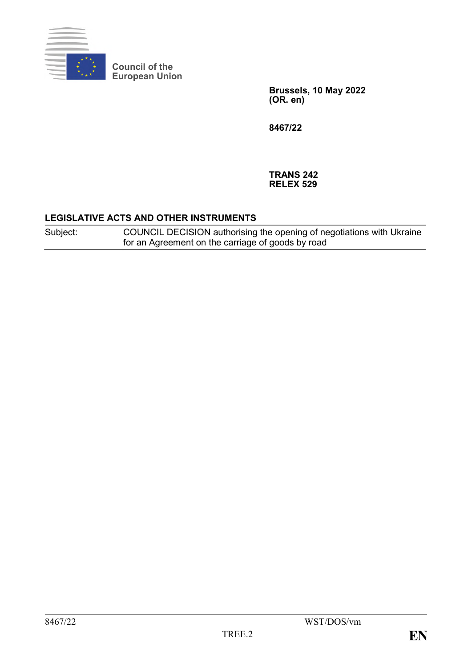

**Council of the European Union**

> **Brussels, 10 May 2022 (OR. en)**

**8467/22**

**TRANS 242 RELEX 529**

### **LEGISLATIVE ACTS AND OTHER INSTRUMENTS**

Subject: COUNCIL DECISION authorising the opening of negotiations with Ukraine for an Agreement on the carriage of goods by road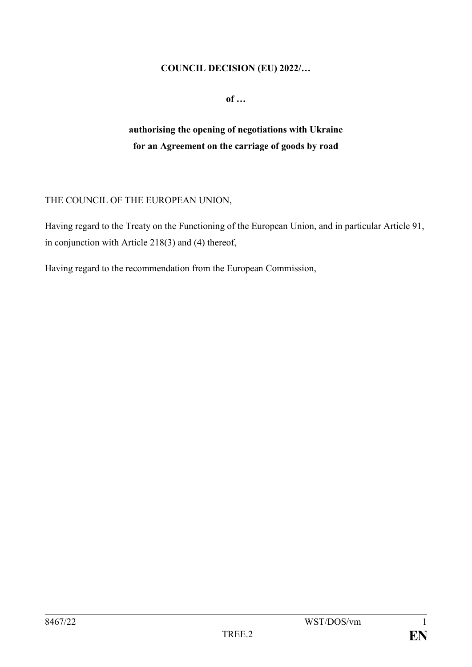#### **COUNCIL DECISION (EU) 2022/…**

**of …**

# **authorising the opening of negotiations with Ukraine for an Agreement on the carriage of goods by road**

## THE COUNCIL OF THE EUROPEAN UNION,

Having regard to the Treaty on the Functioning of the European Union, and in particular Article 91, in conjunction with Article 218(3) and (4) thereof,

Having regard to the recommendation from the European Commission,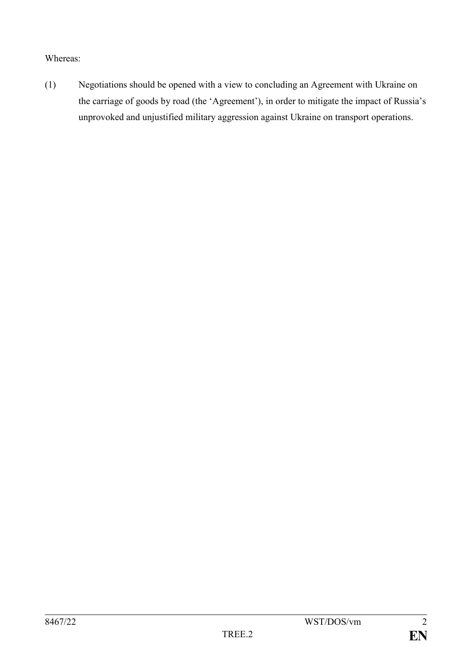## Whereas:

(1) Negotiations should be opened with a view to concluding an Agreement with Ukraine on the carriage of goods by road (the 'Agreement'), in order to mitigate the impact of Russia's unprovoked and unjustified military aggression against Ukraine on transport operations.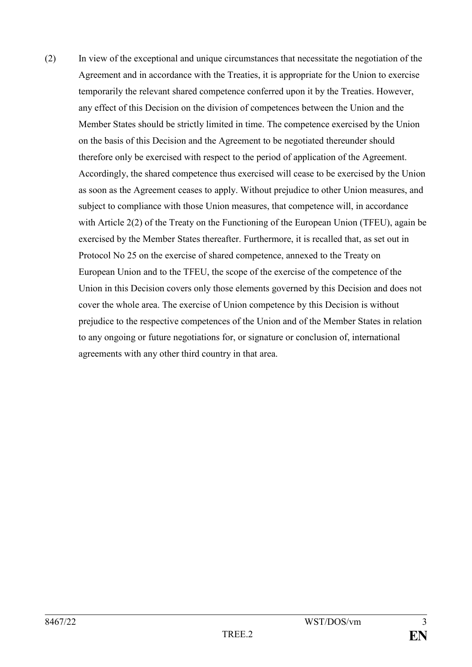(2) In view of the exceptional and unique circumstances that necessitate the negotiation of the Agreement and in accordance with the Treaties, it is appropriate for the Union to exercise temporarily the relevant shared competence conferred upon it by the Treaties. However, any effect of this Decision on the division of competences between the Union and the Member States should be strictly limited in time. The competence exercised by the Union on the basis of this Decision and the Agreement to be negotiated thereunder should therefore only be exercised with respect to the period of application of the Agreement. Accordingly, the shared competence thus exercised will cease to be exercised by the Union as soon as the Agreement ceases to apply. Without prejudice to other Union measures, and subject to compliance with those Union measures, that competence will, in accordance with Article 2(2) of the Treaty on the Functioning of the European Union (TFEU), again be exercised by the Member States thereafter. Furthermore, it is recalled that, as set out in Protocol No 25 on the exercise of shared competence, annexed to the Treaty on European Union and to the TFEU, the scope of the exercise of the competence of the Union in this Decision covers only those elements governed by this Decision and does not cover the whole area. The exercise of Union competence by this Decision is without prejudice to the respective competences of the Union and of the Member States in relation to any ongoing or future negotiations for, or signature or conclusion of, international agreements with any other third country in that area.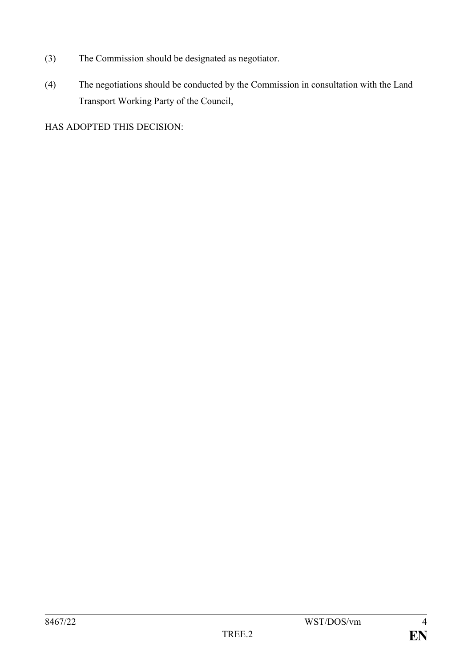- (3) The Commission should be designated as negotiator.
- (4) The negotiations should be conducted by the Commission in consultation with the Land Transport Working Party of the Council,

HAS ADOPTED THIS DECISION: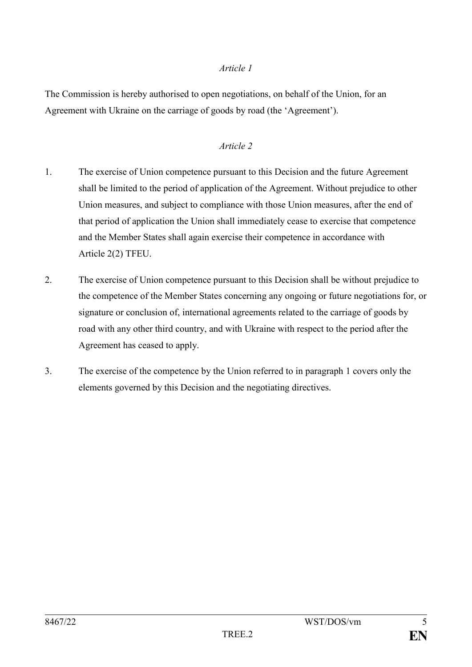#### *Article 1*

The Commission is hereby authorised to open negotiations, on behalf of the Union, for an Agreement with Ukraine on the carriage of goods by road (the 'Agreement').

### *Article 2*

- 1. The exercise of Union competence pursuant to this Decision and the future Agreement shall be limited to the period of application of the Agreement. Without prejudice to other Union measures, and subject to compliance with those Union measures, after the end of that period of application the Union shall immediately cease to exercise that competence and the Member States shall again exercise their competence in accordance with Article 2(2) TFEU.
- 2. The exercise of Union competence pursuant to this Decision shall be without prejudice to the competence of the Member States concerning any ongoing or future negotiations for, or signature or conclusion of, international agreements related to the carriage of goods by road with any other third country, and with Ukraine with respect to the period after the Agreement has ceased to apply.
- 3. The exercise of the competence by the Union referred to in paragraph 1 covers only the elements governed by this Decision and the negotiating directives.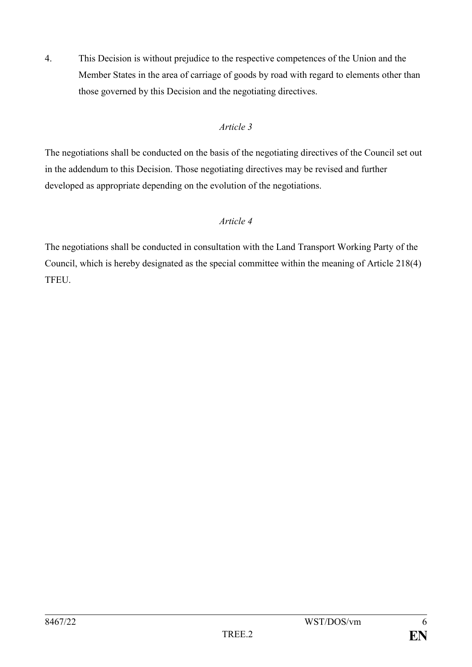4. This Decision is without prejudice to the respective competences of the Union and the Member States in the area of carriage of goods by road with regard to elements other than those governed by this Decision and the negotiating directives.

## *Article 3*

The negotiations shall be conducted on the basis of the negotiating directives of the Council set out in the addendum to this Decision. Those negotiating directives may be revised and further developed as appropriate depending on the evolution of the negotiations.

# *Article 4*

The negotiations shall be conducted in consultation with the Land Transport Working Party of the Council, which is hereby designated as the special committee within the meaning of Article 218(4) TFEU.